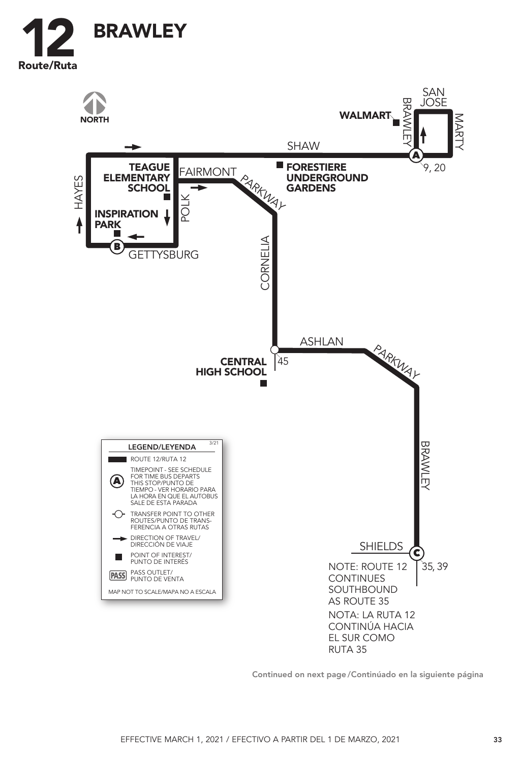



Continued on next page / Continúado en la siguiente página